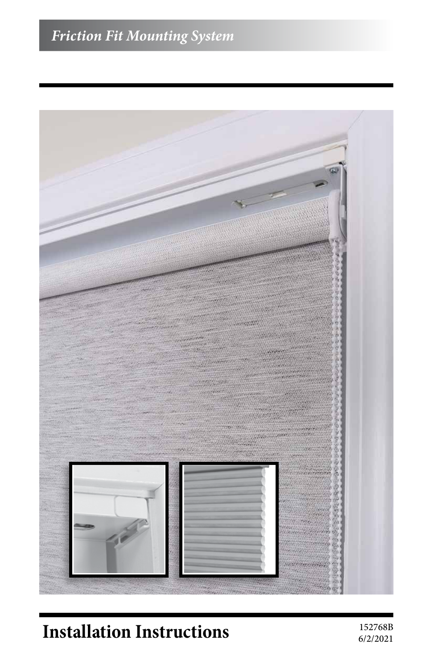## *Friction Fit Mounting System*



# **Installation Instructions** 152768B

6/2/2021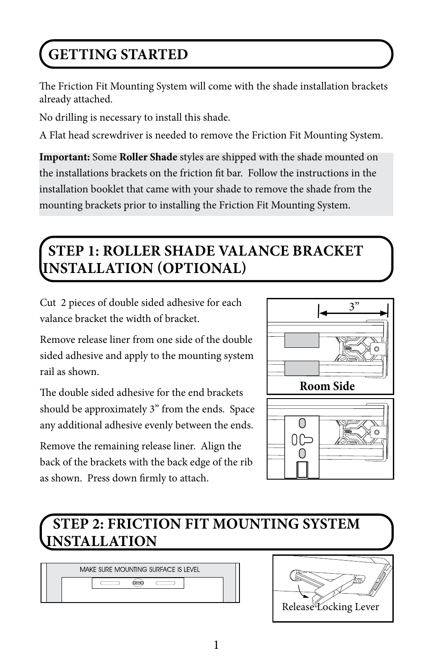# **GETTING STARTED**

The Friction Fit Mounting System will come with the shade installation brackets already attached.

No drilling is necessary to install this shade.

A Flat head screwdriver is needed to remove the Friction Fit Mounting System.

**Important:** Some **Roller Shade** styles are shipped with the shade mounted on the installations brackets on the friction fit bar. Follow the instructions in the installation booklet that came with your shade to remove the shade from the mounting brackets prior to installing the Friction Fit Mounting System.

## **STEP 1: ROLLER SHADE VALANCE BRACKET INSTALLATION (OPTIONAL)**

Cut 2 pieces of double sided adhesive for each valance bracket the width of bracket.

Remove release liner from one side of the double sided adhesive and apply to the mounting system rail as shown.

The double sided adhesive for the end brackets should be approximately 3" from the ends. Space any additional adhesive evenly between the ends.

Remove the remaining release liner. Align the back of the brackets with the back edge of the rib as shown. Press down firmly to attach.



## **STEP 2: FRICTION FIT MOUNTING SYSTEM INSTALLATION**

MAKE SURE MOUNTING SURFACE IS LEVEL  $\qquad \qquad$ ⇔  $\qquad \qquad \qquad \qquad$ 

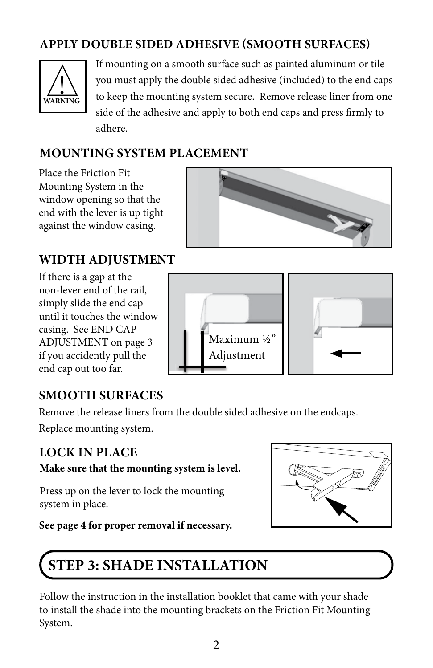#### **APPLY DOUBLE SIDED ADHESIVE (SMOOTH SURFACES)**



If mounting on a smooth surface such as painted aluminum or tile you must apply the double sided adhesive (included) to the end caps to keep the mounting system secure. Remove release liner from one side of the adhesive and apply to both end caps and press firmly to adhere.

#### **MOUNTING SYSTEM PLACEMENT**

Place the Friction Fit Mounting System in the window opening so that the end with the lever is up tight against the window casing.



#### **WIDTH ADJUSTMENT**

If there is a gap at the non-lever end of the rail, simply slide the end cap until it touches the window casing. See END CAP ADJUSTMENT on page 3 if you accidently pull the end cap out too far.



#### **SMOOTH SURFACES**

Remove the release liners from the double sided adhesive on the endcaps.

Replace mounting system.

#### **LOCK IN PLACE**

**Make sure that the mounting system is level.**

Press up on the lever to lock the mounting system in place.

**See page 4 for proper removal if necessary.**



## **STEP 3: SHADE INSTALLATION**

Follow the instruction in the installation booklet that came with your shade to install the shade into the mounting brackets on the Friction Fit Mounting System.